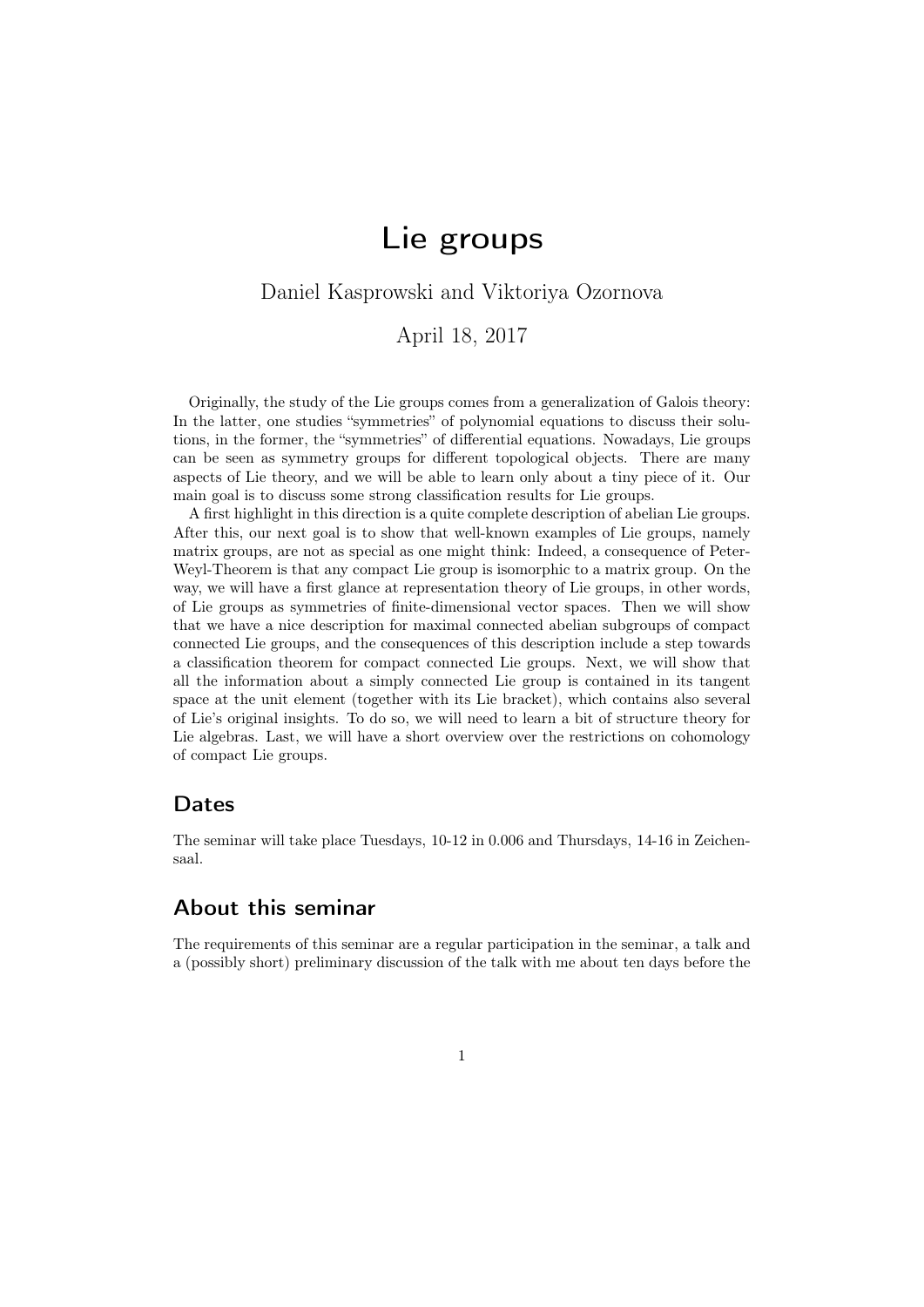# Lie groups

### <span id="page-0-0"></span>Daniel Kasprowski and Viktoriya Ozornova

April 18, 2017

Originally, the study of the Lie groups comes from a generalization of Galois theory: In the latter, one studies "symmetries" of polynomial equations to discuss their solutions, in the former, the "symmetries" of differential equations. Nowadays, Lie groups can be seen as symmetry groups for different topological objects. There are many aspects of Lie theory, and we will be able to learn only about a tiny piece of it. Our main goal is to discuss some strong classification results for Lie groups.

A first highlight in this direction is a quite complete description of abelian Lie groups. After this, our next goal is to show that well-known examples of Lie groups, namely matrix groups, are not as special as one might think: Indeed, a consequence of Peter-Weyl-Theorem is that any compact Lie group is isomorphic to a matrix group. On the way, we will have a first glance at representation theory of Lie groups, in other words, of Lie groups as symmetries of finite-dimensional vector spaces. Then we will show that we have a nice description for maximal connected abelian subgroups of compact connected Lie groups, and the consequences of this description include a step towards a classification theorem for compact connected Lie groups. Next, we will show that all the information about a simply connected Lie group is contained in its tangent space at the unit element (together with its Lie bracket), which contains also several of Lie's original insights. To do so, we will need to learn a bit of structure theory for Lie algebras. Last, we will have a short overview over the restrictions on cohomology of compact Lie groups.

#### Dates

The seminar will take place Tuesdays, 10-12 in 0.006 and Thursdays, 14-16 in Zeichensaal.

### About this seminar

The requirements of this seminar are a regular participation in the seminar, a talk and a (possibly short) preliminary discussion of the talk with me about ten days before the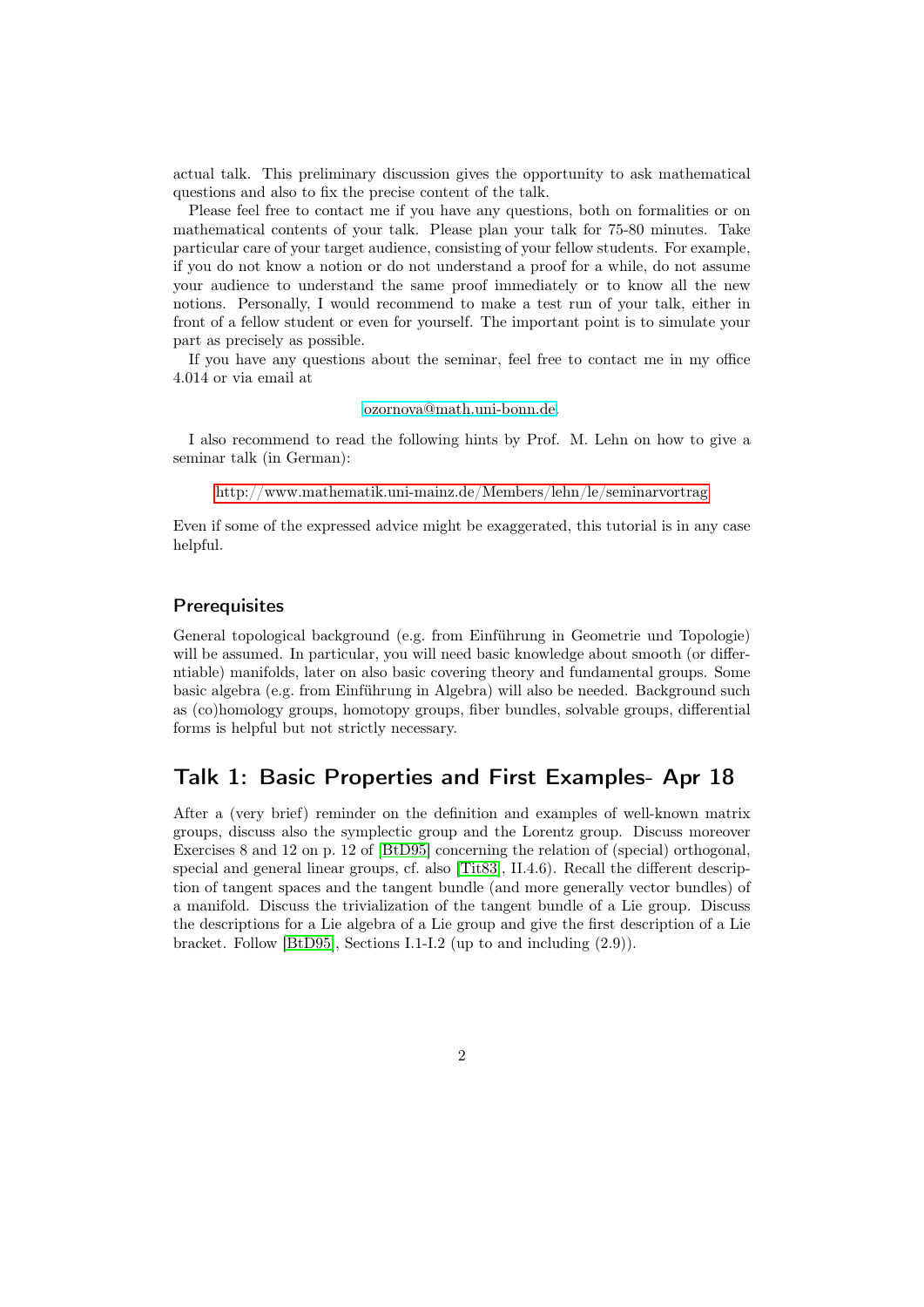actual talk. This preliminary discussion gives the opportunity to ask mathematical questions and also to fix the precise content of the talk.

Please feel free to contact me if you have any questions, both on formalities or on mathematical contents of your talk. Please plan your talk for 75-80 minutes. Take particular care of your target audience, consisting of your fellow students. For example, if you do not know a notion or do not understand a proof for a while, do not assume your audience to understand the same proof immediately or to know all the new notions. Personally, I would recommend to make a test run of your talk, either in front of a fellow student or even for yourself. The important point is to simulate your part as precisely as possible.

If you have any questions about the seminar, feel free to contact me in my office 4.014 or via email at

#### [ozornova@math.uni-bonn.de.](ozornova@math.uni-bonn.de)

I also recommend to read the following hints by Prof. M. Lehn on how to give a seminar talk (in German):

[http://www.mathematik.uni-mainz.de/Members/lehn/le/seminarvortrag](#page-0-0)

Even if some of the expressed advice might be exaggerated, this tutorial is in any case helpful.

#### **Prerequisites**

General topological background (e.g. from Einführung in Geometrie und Topologie) will be assumed. In particular, you will need basic knowledge about smooth (or differntiable) manifolds, later on also basic covering theory and fundamental groups. Some basic algebra (e.g. from Einführung in Algebra) will also be needed. Background such as (co)homology groups, homotopy groups, fiber bundles, solvable groups, differential forms is helpful but not strictly necessary.

### Talk 1: Basic Properties and First Examples- Apr 18

After a (very brief) reminder on the definition and examples of well-known matrix groups, discuss also the symplectic group and the Lorentz group. Discuss moreover Exercises 8 and 12 on p. 12 of [\[BtD95\]](#page-5-0) concerning the relation of (special) orthogonal, special and general linear groups, cf. also [\[Tit83\]](#page-5-1), II.4.6). Recall the different description of tangent spaces and the tangent bundle (and more generally vector bundles) of a manifold. Discuss the trivialization of the tangent bundle of a Lie group. Discuss the descriptions for a Lie algebra of a Lie group and give the first description of a Lie bracket. Follow [\[BtD95\]](#page-5-0), Sections I.1-I.2 (up to and including (2.9)).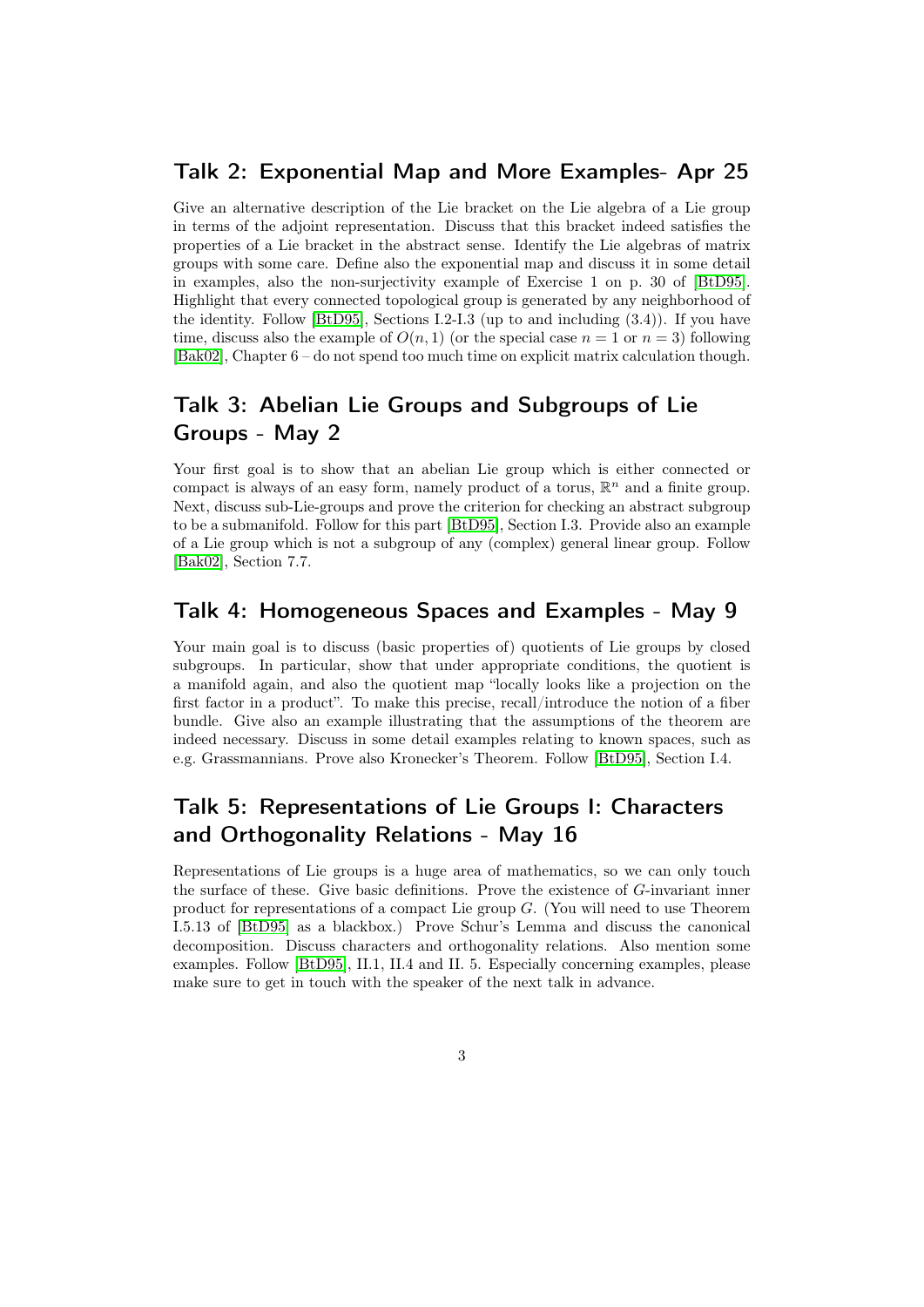#### Talk 2: Exponential Map and More Examples- Apr 25

Give an alternative description of the Lie bracket on the Lie algebra of a Lie group in terms of the adjoint representation. Discuss that this bracket indeed satisfies the properties of a Lie bracket in the abstract sense. Identify the Lie algebras of matrix groups with some care. Define also the exponential map and discuss it in some detail in examples, also the non-surjectivity example of Exercise 1 on p. 30 of [\[BtD95\]](#page-5-0). Highlight that every connected topological group is generated by any neighborhood of the identity. Follow [\[BtD95\]](#page-5-0), Sections I.2-I.3 (up to and including (3.4)). If you have time, discuss also the example of  $O(n, 1)$  (or the special case  $n = 1$  or  $n = 3$ ) following [\[Bak02\]](#page-5-2), Chapter 6 – do not spend too much time on explicit matrix calculation though.

### Talk 3: Abelian Lie Groups and Subgroups of Lie Groups - May 2

Your first goal is to show that an abelian Lie group which is either connected or compact is always of an easy form, namely product of a torus,  $\mathbb{R}^n$  and a finite group. Next, discuss sub-Lie-groups and prove the criterion for checking an abstract subgroup to be a submanifold. Follow for this part [\[BtD95\]](#page-5-0), Section I.3. Provide also an example of a Lie group which is not a subgroup of any (complex) general linear group. Follow [\[Bak02\]](#page-5-2), Section 7.7.

### Talk 4: Homogeneous Spaces and Examples - May 9

Your main goal is to discuss (basic properties of) quotients of Lie groups by closed subgroups. In particular, show that under appropriate conditions, the quotient is a manifold again, and also the quotient map "locally looks like a projection on the first factor in a product". To make this precise, recall/introduce the notion of a fiber bundle. Give also an example illustrating that the assumptions of the theorem are indeed necessary. Discuss in some detail examples relating to known spaces, such as e.g. Grassmannians. Prove also Kronecker's Theorem. Follow [\[BtD95\]](#page-5-0), Section I.4.

### Talk 5: Representations of Lie Groups I: Characters and Orthogonality Relations - May 16

Representations of Lie groups is a huge area of mathematics, so we can only touch the surface of these. Give basic definitions. Prove the existence of G-invariant inner product for representations of a compact Lie group G. (You will need to use Theorem I.5.13 of [\[BtD95\]](#page-5-0) as a blackbox.) Prove Schur's Lemma and discuss the canonical decomposition. Discuss characters and orthogonality relations. Also mention some examples. Follow [\[BtD95\]](#page-5-0), II.1, II.4 and II. 5. Especially concerning examples, please make sure to get in touch with the speaker of the next talk in advance.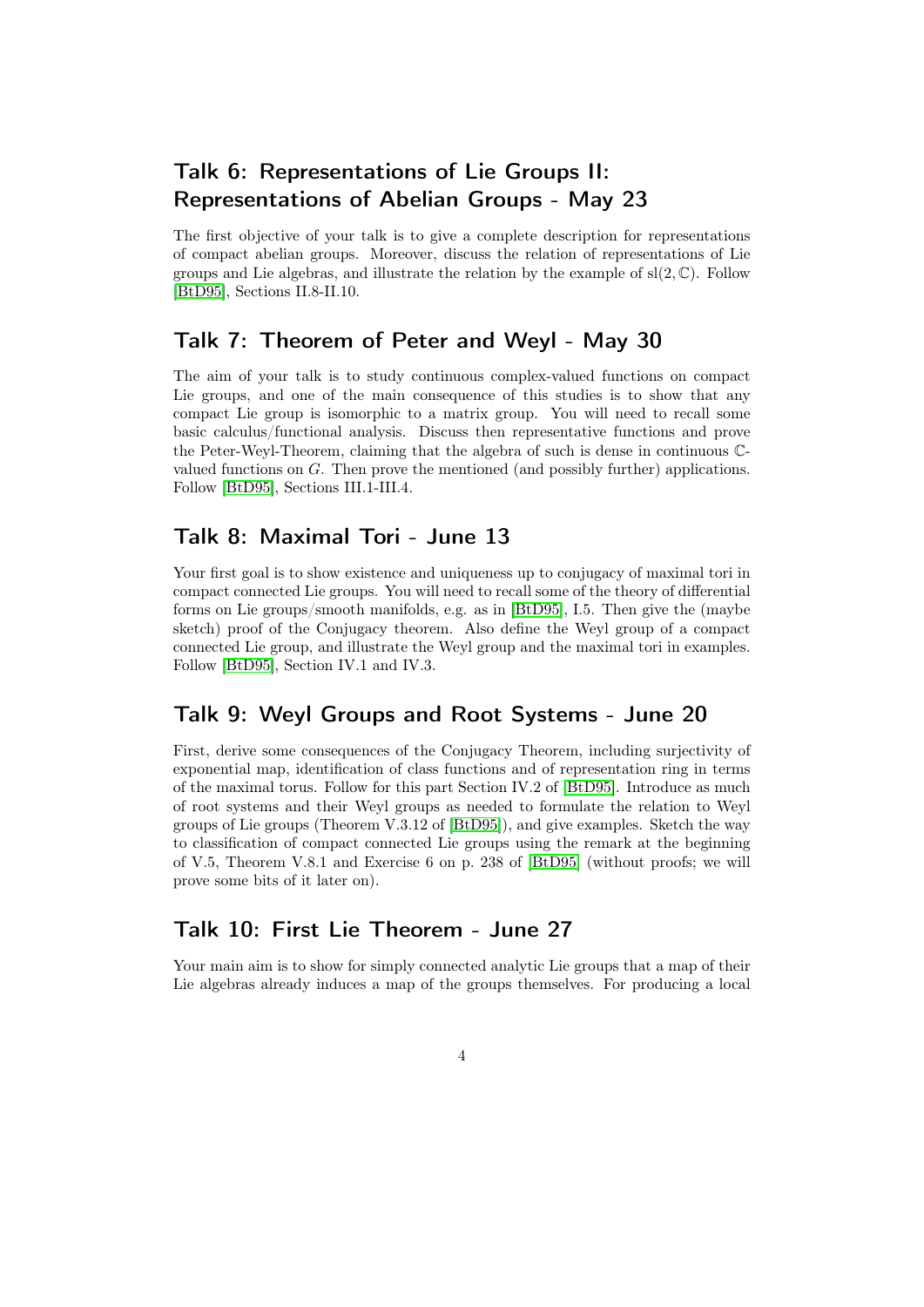## Talk 6: Representations of Lie Groups II: Representations of Abelian Groups - May 23

The first objective of your talk is to give a complete description for representations of compact abelian groups. Moreover, discuss the relation of representations of Lie groups and Lie algebras, and illustrate the relation by the example of  $sl(2,\mathbb{C})$ . Follow [\[BtD95\]](#page-5-0), Sections II.8-II.10.

### Talk 7: Theorem of Peter and Weyl - May 30

The aim of your talk is to study continuous complex-valued functions on compact Lie groups, and one of the main consequence of this studies is to show that any compact Lie group is isomorphic to a matrix group. You will need to recall some basic calculus/functional analysis. Discuss then representative functions and prove the Peter-Weyl-Theorem, claiming that the algebra of such is dense in continuous Cvalued functions on G. Then prove the mentioned (and possibly further) applications. Follow [\[BtD95\]](#page-5-0), Sections III.1-III.4.

### Talk 8: Maximal Tori - June 13

Your first goal is to show existence and uniqueness up to conjugacy of maximal tori in compact connected Lie groups. You will need to recall some of the theory of differential forms on Lie groups/smooth manifolds, e.g. as in [\[BtD95\]](#page-5-0), I.5. Then give the (maybe sketch) proof of the Conjugacy theorem. Also define the Weyl group of a compact connected Lie group, and illustrate the Weyl group and the maximal tori in examples. Follow [\[BtD95\]](#page-5-0), Section IV.1 and IV.3.

### Talk 9: Weyl Groups and Root Systems - June 20

First, derive some consequences of the Conjugacy Theorem, including surjectivity of exponential map, identification of class functions and of representation ring in terms of the maximal torus. Follow for this part Section IV.2 of [\[BtD95\]](#page-5-0). Introduce as much of root systems and their Weyl groups as needed to formulate the relation to Weyl groups of Lie groups (Theorem V.3.12 of [\[BtD95\]](#page-5-0)), and give examples. Sketch the way to classification of compact connected Lie groups using the remark at the beginning of V.5, Theorem V.8.1 and Exercise 6 on p. 238 of [\[BtD95\]](#page-5-0) (without proofs; we will prove some bits of it later on).

### Talk 10: First Lie Theorem - June 27

Your main aim is to show for simply connected analytic Lie groups that a map of their Lie algebras already induces a map of the groups themselves. For producing a local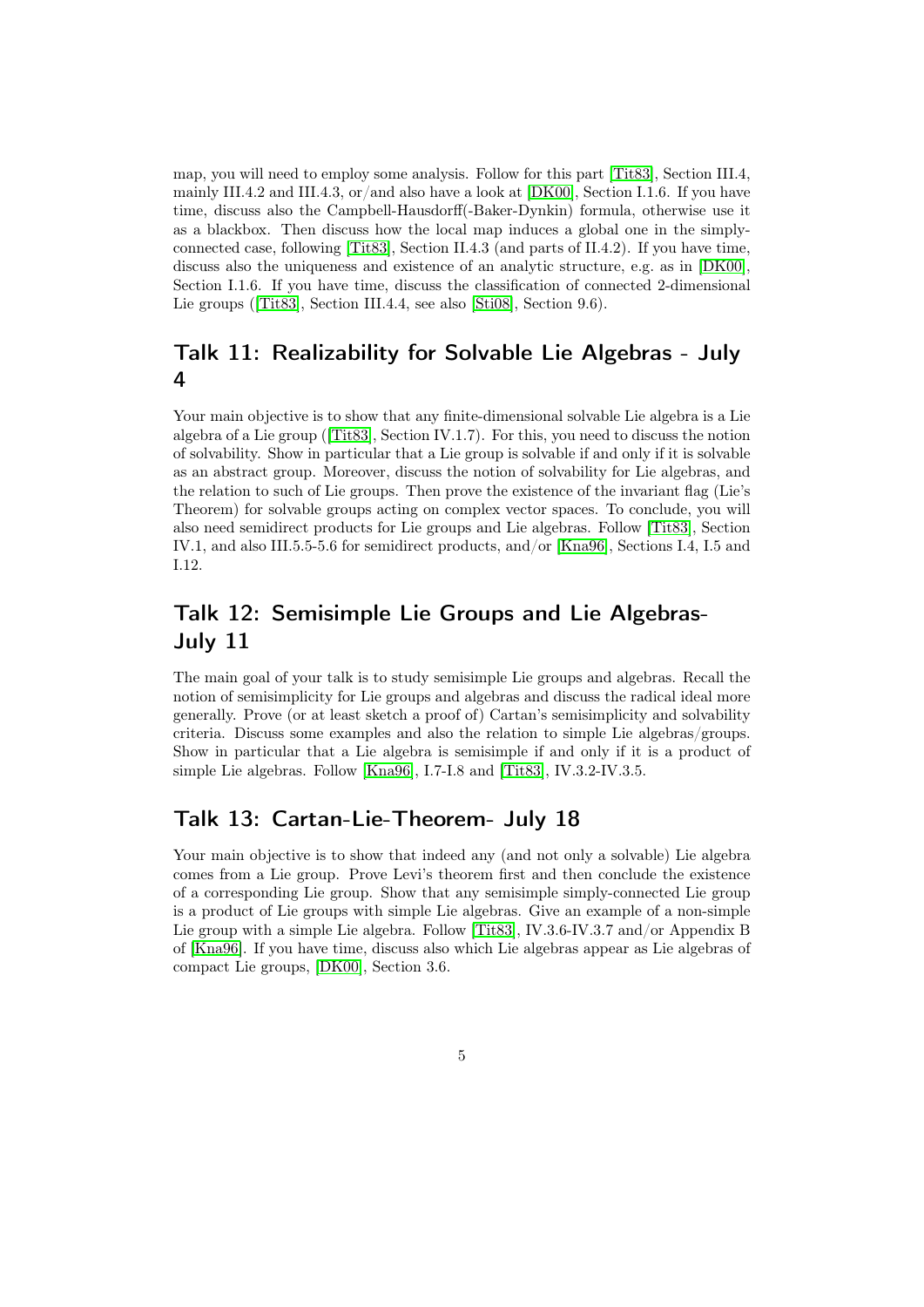map, you will need to employ some analysis. Follow for this part [\[Tit83\]](#page-5-1), Section III.4, mainly III.4.2 and III.4.3, or/and also have a look at [\[DK00\]](#page-5-3), Section I.1.6. If you have time, discuss also the Campbell-Hausdorff(-Baker-Dynkin) formula, otherwise use it as a blackbox. Then discuss how the local map induces a global one in the simplyconnected case, following [\[Tit83\]](#page-5-1), Section II.4.3 (and parts of II.4.2). If you have time, discuss also the uniqueness and existence of an analytic structure, e.g. as in [\[DK00\]](#page-5-3), Section I.1.6. If you have time, discuss the classification of connected 2-dimensional Lie groups ([\[Tit83\]](#page-5-1), Section III.4.4, see also [\[Sti08\]](#page-5-4), Section 9.6).

### Talk 11: Realizability for Solvable Lie Algebras - July 4

Your main objective is to show that any finite-dimensional solvable Lie algebra is a Lie algebra of a Lie group ([\[Tit83\]](#page-5-1), Section IV.1.7). For this, you need to discuss the notion of solvability. Show in particular that a Lie group is solvable if and only if it is solvable as an abstract group. Moreover, discuss the notion of solvability for Lie algebras, and the relation to such of Lie groups. Then prove the existence of the invariant flag (Lie's Theorem) for solvable groups acting on complex vector spaces. To conclude, you will also need semidirect products for Lie groups and Lie algebras. Follow [\[Tit83\]](#page-5-1), Section IV.1, and also III.5.5-5.6 for semidirect products, and/or [\[Kna96\]](#page-5-5), Sections I.4, I.5 and I.12.

### Talk 12: Semisimple Lie Groups and Lie Algebras-July 11

The main goal of your talk is to study semisimple Lie groups and algebras. Recall the notion of semisimplicity for Lie groups and algebras and discuss the radical ideal more generally. Prove (or at least sketch a proof of) Cartan's semisimplicity and solvability criteria. Discuss some examples and also the relation to simple Lie algebras/groups. Show in particular that a Lie algebra is semisimple if and only if it is a product of simple Lie algebras. Follow [\[Kna96\]](#page-5-5), I.7-I.8 and [\[Tit83\]](#page-5-1), IV.3.2-IV.3.5.

### Talk 13: Cartan-Lie-Theorem- July 18

Your main objective is to show that indeed any (and not only a solvable) Lie algebra comes from a Lie group. Prove Levi's theorem first and then conclude the existence of a corresponding Lie group. Show that any semisimple simply-connected Lie group is a product of Lie groups with simple Lie algebras. Give an example of a non-simple Lie group with a simple Lie algebra. Follow [\[Tit83\]](#page-5-1), IV.3.6-IV.3.7 and/or Appendix B of [\[Kna96\]](#page-5-5). If you have time, discuss also which Lie algebras appear as Lie algebras of compact Lie groups, [\[DK00\]](#page-5-3), Section 3.6.